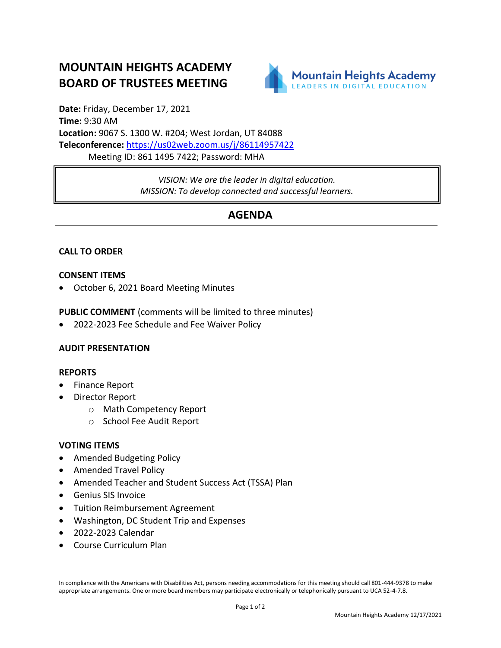# **MOUNTAIN HEIGHTS ACADEMY BOARD OF TRUSTEES MEETING**



**Date:** Friday, December 17, 2021 **Time:** 9:30 AM **Location:** 9067 S. 1300 W. #204; West Jordan, UT 84088 **Teleconference:** <https://us02web.zoom.us/j/86114957422> Meeting ID: 861 1495 7422; Password: MHA

> *VISION: We are the leader in digital education. MISSION: To develop connected and successful learners.*

## **AGENDA**

### **CALL TO ORDER**

#### **CONSENT ITEMS**

• October 6, 2021 Board Meeting Minutes

**PUBLIC COMMENT** (comments will be limited to three minutes)

• 2022-2023 Fee Schedule and Fee Waiver Policy

#### **AUDIT PRESENTATION**

#### **REPORTS**

- Finance Report
- Director Report
	- o Math Competency Report
	- o School Fee Audit Report

#### **VOTING ITEMS**

- Amended Budgeting Policy
- Amended Travel Policy
- Amended Teacher and Student Success Act (TSSA) Plan
- Genius SIS Invoice
- Tuition Reimbursement Agreement
- Washington, DC Student Trip and Expenses
- 2022-2023 Calendar
- Course Curriculum Plan